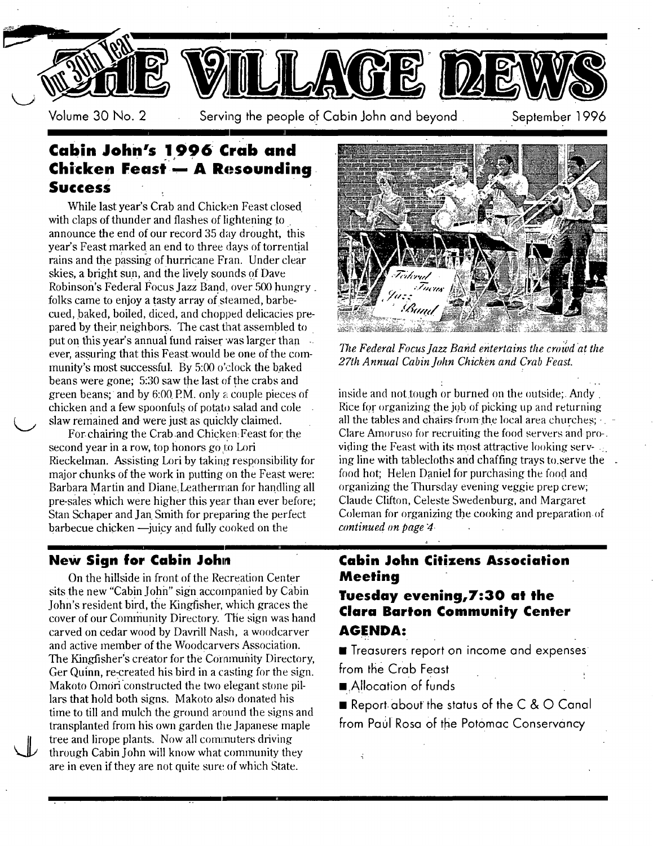

Volume 30 No. 2 Serving the people of Cabin John and beyond September 1996

## **Cabin John's 1996 crab and** " **Chicken Feast - A Resounding Success**

While last year's Crab and Chicken Feast closed with claps of thunder and flashes of lightening to announce the end of our record 35 day drought, this year's Feast marked an end to three days of torrential rains and the passing of hurricane Fran. Under clear skies, a bright sun, and the lively sounds of Dave Robinson's Federal Focus Jazz Band, over 500 hungry. folks came to enjoy a tasty array of steamed, barbecued, baked, boiled, diced, and chopped delicacies prepared by their neighbors. The cast that assembled to put on this year's annual fund raiser was larger than  $\sim$ ever, assuring that this Feast.would he one of the community's most successful. By 5:00 o'clock the baked beans were gone; 5:30 saw the last of the crabs and green beans; and by 6:00 P.M. only a couple pieces of chicken and a few spoonfuls of potato salad and cole slaw remained and were just as quickly claimed.

For-chairing the Crab and Chicken-Feast for the second year in a row, top honors go to Lori Rieckelman. Assisting Lori by taking responsibility for major chunks of the work in putting on the Feast **were:**  Barbara Martin and Diane. Leatherman for handling all pre-sales which were higher this year than ever before; Stan Schaper and Jan Smith for preparing the perfect  $bar$  barbecue chicken  $\rightarrow$  juicy and fully cooked on the

### **New Sign for Cabin John**

**vL** 

On the hillside in front of the Recreation Center sits the new "Cabin John" sign accompanied hy Cabin John's resident bird, the Kingfisher, which graces the cover of our Community Directory. The sign was hand carved on cedar wood by Davrill Nash, a woodcarver and active member of the Woodcarvers Association. The Kingfisher's creator for the Community Directory, Ger Quinn, re-created his bird in a casting for the sign. Makoto Omori constructed the two elegant stone pillars that hold both signs. Makoto also donated his time to till and mulch the ground around the signs and transplanted from his own garden the Japanese maple tree and lirope plants. Now all commuters driving through Cabin John will know what community they are in even if they are not quite sure of which State.



*77~e Federal Focus Jazz Band entertains the crowd at the 27th Annual Cabin John Chicken and Crab Feast.* 

inside and not tough or burned on the outside; Andy. Rice for organizing the job of picking up and returning all the tables and chairs-from the local area churches;  $\cdot$ Clare Amoruso for recruiting the food servers and pro-. viding the Feast with its most attractive looking serving line with tablecloths and chaffing trays to serve the. food hot; Helen Daniel for purchasing the food and organizing the Thursday evening veggie prep crew; Claude Clifton, Celeste Swedenburg, and Margaret Coleman for organizing the cooking and preparation.of *continued on page 4.* 

### **Cabin John Citizens Association Meeting**

*a* 

### **Tuesday evening,7:30 at the Clara Barton Community Center AGENDA:**

 $\blacksquare$  Treasurers report on income and expenses from the Crab Feast

■ Allocation of funds

ł

**Report-about the status of the C & O Canal** from Paul Rosa of the Potomac Conservancy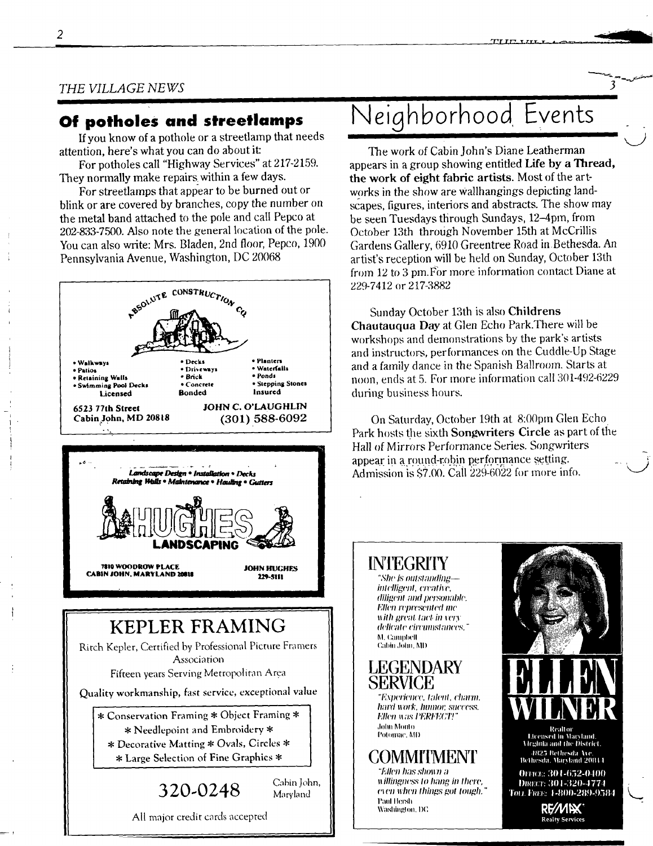## **Of potholes and streetlamps**

If you know of a pothole or a streetlamp that needs attention, here's what you can do about it:

*I* 

For potholes call "Highway Services" at 217-2159. They normally make repairs within a few days.

For streeflamps that appear to be burned out or blink or are covered by branches, copy the number on the metal band attached to the pole and call Pepco at 202-833-7500. Also note the general location of the pole. You can also write: Mrs. Bladen, 2nd floor, Pepco, 1900 Pennsylvania Avenue, Washington, DC 20068





## **KEPLER FRAMING**

Ritch Kepler, Certified by Professional Picture Framers Association Fifteen years Serving Metropolitan Area

Quality workmanship, fast service, exceptional value

\* Conservation Framing \* Object Framing \* \* Needlepoint and Embroidery \* Decorative Matting # Ovals, Circles \* \* Large Selection of Fine Graphics

### **320.0248**

Cabin John, Maryland

All major credit cards accepted

# **Neighborhood Events**

 $TITITIIT$ 

3

The work of Cabin John's Diane Leatherman appears in a group showing entitled Life by a Thread, the work of eight fabric artists. Most of the artworks in the show are Wallhangings depicting landscapes, figures, interiors and abstracts. The show may be seen Tuesdays through Sundays, 12–4pm, from October 13th through November 15th at McCrillis Gardens Gallery, 6910 Greentree Road in Bethesda. An artist's reception will be held on Sunday, October 13th from  $12$  to 3 pm. For more information contact Diane at *229-7412* or 217-3882

Sunday October 13th is also Chiidrens Chautauqua Day at Glen Echo Park.There will be workshops and demonstrations by the park's artists and instructors, performances on the Cuddle-Up Stage and a family dance in the Spanish Ballroom. Starts at noon, ends at 5. For more information call 301-492-6229 during business hours.

On Saturday, October 19th at 8:00pm Glen Echo Park hosts the sixth Songwriters Circle as part of the Hall of Mirrors Performance Series. Songwriters appear in a round-robin performance setting. Admission is  $$7.00$ . Call  $229-6022$  for more info.

#### **IN'IEGRIrlT**

",%'lIP iS *t)lllsI;HltlJll~- intelligent, creative,*  $diligent$  and personable. *I;'lh'n I'Vpl'es('nle(l Ine with great tact in very* (h'lical¢ *cil'Clllll,~lOll('e&"*  M. Campbell Cabin John, MD

### **LEGENDARY SERVICE**

*"l',Nlwriencc. I;|h't;I, chm'nk*   $hard work, humor, success.$ *Ellen was PERFECT!* ,h)hll nollh) **Potomac, MD** 

### **COMMrlMENT**

*"Ellen has shown a Ii Jllingtlt:ss Io hang #1 Ihere,*  t'l Pit WIIIYI *lhhl#S gol IOIIgh. "*  Paul Hersh Washington, DC



Office: 301-652-0400 I)n{~:C r- 301-321)--1774 Tot. Free: 1-800-289-9584

Realty Services

re/Mex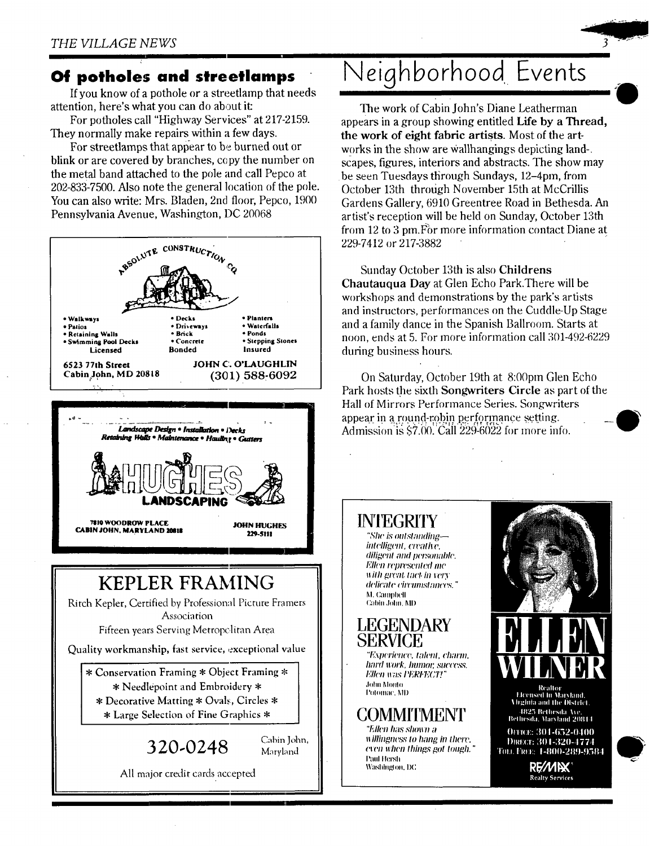### **Of potholes and streetlamps**

If you know of a pothole 0r a streetlamp that needs attention, here's what you can do about it:

For potholes call "Highway Services" at 217-2159. They normally make repairs within a few days.

For streetlamps that appear to be burned out or blink or are covered by branches, copy the number on the metal band attached to the pole and call Pepco at 202-833-7500. Also note the general location of the pole. You can also write: Mrs. Bladen, 2nd floor, Pepco, 1900 Pennsylvania Avenue, Washington, DC 20068



# **Neighborhood Events**

The work of Cabin John's Diane Leatherman appears in a group showing entitled Life by a Thread, the work of eight fabric artists. Most of the artworks in the show are Wallhangings depicting land-. scapes, figures, interiors and abstracts. The show may be seen Tuesdays through Sundays, 12-4pm, from October 13th through November 15th at McCrillis Gardens Gallery, 6910 Greentree Road in Bethesda. An artist's reception will be held on Sunday, October 13th from 12 to 3 pm. For more information contact Diane at 229-7412 or 217-3882

Sunday October 13th is also Childrens Chautauqua Day at Glen Echo Park.There will be workshops and demonstrations by the park's artists and instructors, performances on the Cuddle-Up Stage and a family dance in the Spanish Ballroom. Starts at noon, ends at 5. For more information call 301-492-6229 during business hours.

On Saturday, October 19th at 8:00pm Glen Echo Park hosts the sixth Songwriters Circle as part of the Hall of Mirrors Performance Series. Songwriters appear in a round-robin performance setting. Admission is  $$7.00$ . Call  $229-6022$  for more info.

### **INIEGRITY**

*"She is oulsl;mding- intelligent, creative,*  $diligent$  and personable. *<i>Ellen* represented me *with great tact in very (l('li(71l(' C#'('IIIII.S'IgIII('PS. "*  M. Campbell Cabin dolm. MI)

**LEGENDARY SERVICE**  *"I"xpeT/t'IlC(~, Iohvll, ('h;wnl.* 

*hard work, humor, success. 1':11¢'t1* IG/S *I'I"ICH,X;7'!"*  Johil Molllo Potomac. MD

### **COMMIIMENT**

*"f',/h'll h;tS* MIOII71 3 *Willingness to hang in there.*  $\overline{\text{even when things got tough."}}$ Paul Hersh Washington, DC

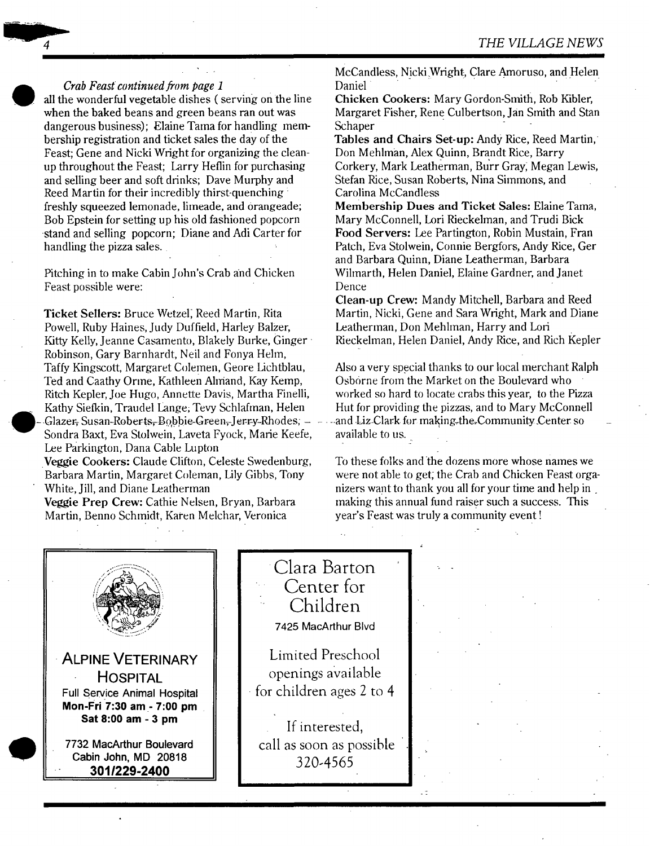#### *Crab Feast continued from page 1*

all the wonderful vegetable dishes ( serving on the line when the baked beans and green beans ran out was dangerous business); Elaine Tama for handling membership registration and ticket sales the day of the Feast; Gene and Nicki Wright for organizing the cleanup throughout the Feast; Larry Herin for purchasing and selling beer and soft drinks; Dave Murphy and Reed Martin for their incredibly thirst-quenching : freshly squeezed lemonade, limeade, and orangeade; Bob Epstein for setting up his old fashioned popcorn -stand and selling popcorn; Diane and Adi Carter for handling the pizza sales.

Pitching in to make Cabin John's Crab and Chicken Feast possible were:

Ticket Sellers: Bruce Wetzel, Reed Martin, Rita Powell, Ruby Haines, Judy Duffield, Harley Balzer, Kitty Kelly, Jeanne Casamento, Blakely Burke, Ginger-Robinson, Gary Barnhardt, Neil and Fonya Hehn, Taffy Kingscott, Margaret Colemen, Geore Lichtblau, Ted and Caathy Orme, Kathleen Ahriand, Kay Kemp, Ritch Kepler, Joe Hugo, Annette Davis, Martha Finelli, Kathy Siefkin, Traudel Lange; Tevy Schlafinan, Helen -.Glazer-~ *Susan-Roberts~B@,bie-Green~-J ~rr-y-Rhodes; - -*  Sondra Baxt, Eva Stolwein, Laveta Fyock, Marie Keefe, Lee Parkington, Dana Cable Lupton Veggie Cookers: Claude Clifton, Celeste Swedenburg, Barbara Martin, Margaret Coleman, Lily Gibbs, Tony White, Jill, and Diane Leatherman

Veggie Prep Crew: Cathie Nelsen, Bryan, Barbara Martin, Benno Schmidt, Karen Melchar, Veronica

McCandless, Nicki Wright, Clare Amoruso, and Helen Daniel

Chicken Cookers: Mary Gordon-Smith, Rob Kibler, Margaret Fisher, Rene Culbertson, Jan Smith and Stan **Schaper** 

Tables and Chairs Set-up: Andy Rice, Reed Martin, Don Mehhnan, Alex Quinn, Brandt Rice, Barry Corkery, Mark Leatherman, Burr Gray; Megan Lewis, Stefan Rice, Susan Roberts, Nina Simmons, and Carolina McCandless

Membership Dues and Ticket Sales: Elaine Tama, Mary McConnell, Lori Rieckehnan, and Trudi Bick **Food** Servers: Lee Partington, Robin Mustain, Fran Patch, Eva Stolwein, Connie Bergfors, Andy Rice, Ger and Barbara Quinn, Diane Leatherman, Barbara Wihnarth, Helen Daniel, Elaine Gardner, and Janet Dence

Clean-up Crew: Mandy Mitchell, Barbara and Reed Martin, Nicki, Gene and Sara Wright, Mark and Diane Leatherman, Don Mehhnan, Harry and Lori Rieckelman, Helen Daniel, Andy Rice, and Rich Kepler

Also a very special thanks to our local merchant Ralph Osborne from the Market on the Boulevard who worked so hard to locate crabs this year, to the Pizza Hut for providing the pizzas, and to Mary McConnell and Liz-Clark for making-the-Community Center so available to us.

To these folks and the dozens more whose names we were not able to get; the Crab and Chicken Feast organizers want to thank you all for your time and help in. making this annual fund raiser such a success. This year's Feast was truly a community event !

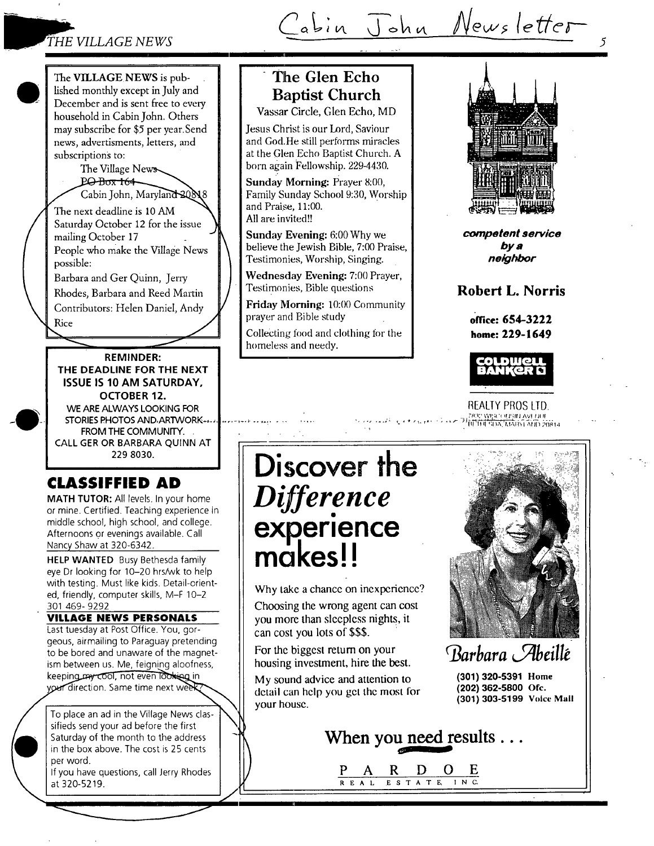### *THE VILLAGE NEWS*

abin John Newsletter

The VILLAGE NEWS is published monthly except in July and December and is sent free to every household in Cabin John. Others may subscribe for \$5 per year.Send news, advertisments, letters, and subscriptions to:

> The Village News PO-Box 164 Cabin John, Maryland 20818

Labin John, Maryland<br>The next deadline is 10 AM Saturday October 12 for the issue mailing October 17 People who make the Village News possible:

Barbara and Ger Quinn, Jerry

Rhodes, Barbara and Reed Martin Contributors: Helen Daniel, Andy ,  $\overbrace{\hspace{2.5cm}}^{Rice}$ 

**REMINDER: THE DEADLINE FOR THE NEXT ISSUE IS 10 AM SATURDAY, OCTOBER 12.**  WE ARE ALWAYS LOOKING FOR STORIES PHOTOS AND ARTWORK ...

 $\leq$ 

FROM THE COMMUNITY. CALL GER OR BARBARA QUINN AT 229 8030.

### **CLASSIFFIED AD**

**MATH TUTOR:** All levels. In your home or mine. Certified. Teaching experience in middle school, high school, and college. Afternoons or evenings available. Call Nancy Shaw at 320-6342.

**HELP WANTED** Busy Bethesda family eye Dr looking for 10-20 hrs/wk to help with testing. Must like kids. Detail-oriented, friendly, computer skills, M-F 10-2 301 469- 9292

**VILLAGE NEWS PERSONALS**  Last tuesday at Post Office. You, gorgeous, airmailing to Paraguay pretending to be bored and unaware of the magnetism between us. Me, feigning aloofness, keeping my cool, not even looking in your direction. Same time next week

To place an ad in the Village News classifieds send your ad before the first Saturday of the month to the address in the box above. The cost is 25 cents per word.

If you have questions, call Jerry Rhodes at 320-5219.

.

## **The Glen Echo Baptist Church**

Vassar Circle, Glen Echo, MD

Jesus Christ is our Lord, Saviour and God.He still performs miracles at the Glen Echo Baptist Church. A born again Fellowship. 229-4430.

**Sunday** Morning: Prayer 8:00, Family Sunday School 9:30, Worship and Praise, 11:00. All are invited!!

**Sunday Evening:** 6:00 Why we believe the Jewish Bible, 7:00 Praise, Testimonies, Worship, Singing.

Wednesday Evening: 7:00 Prayer, Testimonies, Bible questions

Friday Morning: 10:00 Community prayer and Bible study

Collecting food and clothing for the homeless and needy.



*5* 

*competent service bys neighbor* 

### **Robert L. Norris**

**orate: 654-3222 home: 229-1649** 



REALTY PROS LTD.

 $\mathcal{L} \leftrightarrow \mathcal{L} \leftrightarrow \mathcal{L} \leftrightarrow \mathcal{L}$  is  $\mathcal{L} \leftrightarrow \mathcal{L}$  in the subsection of the secondary of  $\mathcal{L}$  and  $\mathcal{L}$ 

# **Discover the**  *Difference*  **experience makes!!**

t.,.. - ....... ;=

-1

Why take a chance on inexperience?

Choosing the wrong agent can cost you more than sleepless nights, it can cost you lots of \$\$\$.

For the biggest retum on your housing investment, hire the best.

My sound advice and attention to detail can help you get the most for your house.



*Barbara Abeillé* 

**(301) 320-5391 Home (202) 362-5800 Ofc. (301) 303-5199 Voice Mall** 



**P A R D O E**  REAL ESTATE, INC.